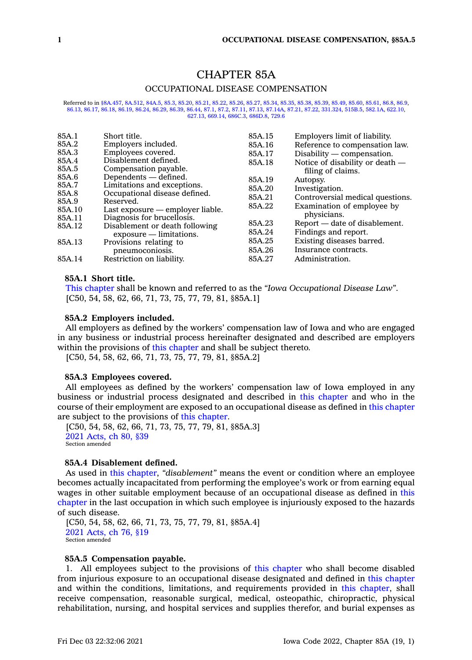# CHAPTER 85A

# OCCUPATIONAL DISEASE COMPENSATION

Referred to in [§8A.457](https://www.legis.iowa.gov/docs/code/8A.457.pdf), [8A.512](https://www.legis.iowa.gov/docs/code/8A.512.pdf), [84A.5](https://www.legis.iowa.gov/docs/code/84A.5.pdf), [85.3](https://www.legis.iowa.gov/docs/code/85.3.pdf), [85.20,](https://www.legis.iowa.gov/docs/code/85.20.pdf) [85.21](https://www.legis.iowa.gov/docs/code/85.21.pdf), [85.22](https://www.legis.iowa.gov/docs/code/85.22.pdf), [85.26](https://www.legis.iowa.gov/docs/code/85.26.pdf), [85.27](https://www.legis.iowa.gov/docs/code/85.27.pdf), [85.34](https://www.legis.iowa.gov/docs/code/85.34.pdf), [85.35,](https://www.legis.iowa.gov/docs/code/85.35.pdf) [85.38](https://www.legis.iowa.gov/docs/code/85.38.pdf), [85.39](https://www.legis.iowa.gov/docs/code/85.39.pdf), [85.49](https://www.legis.iowa.gov/docs/code/85.49.pdf), [85.60](https://www.legis.iowa.gov/docs/code/85.60.pdf), [85.61](https://www.legis.iowa.gov/docs/code/85.61.pdf), [86.8](https://www.legis.iowa.gov/docs/code/86.8.pdf), [86.9](https://www.legis.iowa.gov/docs/code/86.9.pdf), [86.13](https://www.legis.iowa.gov/docs/code/86.13.pdf), [86.17](https://www.legis.iowa.gov/docs/code/86.17.pdf), [86.18](https://www.legis.iowa.gov/docs/code/86.18.pdf), [86.19](https://www.legis.iowa.gov/docs/code/86.19.pdf), [86.24](https://www.legis.iowa.gov/docs/code/86.24.pdf), [86.29](https://www.legis.iowa.gov/docs/code/86.29.pdf), [86.39](https://www.legis.iowa.gov/docs/code/86.39.pdf), [86.44](https://www.legis.iowa.gov/docs/code/86.44.pdf), [87.1](https://www.legis.iowa.gov/docs/code/87.1.pdf), [87.2](https://www.legis.iowa.gov/docs/code/87.2.pdf), [87.11](https://www.legis.iowa.gov/docs/code/87.11.pdf), [87.13](https://www.legis.iowa.gov/docs/code/87.13.pdf), [87.14A](https://www.legis.iowa.gov/docs/code/87.14A.pdf), [87.21](https://www.legis.iowa.gov/docs/code/87.21.pdf), [87.22](https://www.legis.iowa.gov/docs/code/87.22.pdf), [331.324](https://www.legis.iowa.gov/docs/code/331.324.pdf), [515B.5](https://www.legis.iowa.gov/docs/code/515B.5.pdf), [582.1A](https://www.legis.iowa.gov/docs/code/582.1A.pdf), [622.10](https://www.legis.iowa.gov/docs/code/622.10.pdf), [627.13](https://www.legis.iowa.gov/docs/code/627.13.pdf), [669.14,](https://www.legis.iowa.gov/docs/code/669.14.pdf) [686C.3](https://www.legis.iowa.gov/docs/code/686C.3.pdf), [686D.8](https://www.legis.iowa.gov/docs/code/686D.8.pdf), [729.6](https://www.legis.iowa.gov/docs/code/729.6.pdf)

| 85A.1  | Short title.                     | 85A.15 | Employers limit of liability.    |
|--------|----------------------------------|--------|----------------------------------|
| 85A.2  | Employers included.              | 85A.16 | Reference to compensation law.   |
| 85A.3  | Employees covered.               | 85A.17 | $Disability$ - compensation.     |
| 85A.4  | Disablement defined.             | 85A.18 | Notice of disability or death —  |
| 85A.5  | Compensation payable.            |        | filing of claims.                |
| 85A.6  | Dependents — defined.            | 85A.19 | Autopsy.                         |
| 85A.7  | Limitations and exceptions.      | 85A.20 | Investigation.                   |
| 85A.8  | Occupational disease defined.    | 85A.21 | Controversial medical questions. |
| 85A.9  | Reserved.                        | 85A.22 |                                  |
| 85A.10 | Last exposure — employer liable. |        | Examination of employee by       |
| 85A.11 | Diagnosis for brucellosis.       |        | physicians.                      |
| 85A.12 | Disablement or death following   | 85A.23 | Report — date of disablement.    |
|        | $exposure - limitations.$        | 85A.24 | Findings and report.             |
| 85A.13 | Provisions relating to           | 85A.25 | Existing diseases barred.        |
|        | pneumoconiosis.                  | 85A.26 | Insurance contracts.             |
| 85A.14 | Restriction on liability.        | 85A.27 | Administration.                  |
|        |                                  |        |                                  |

#### **85A.1 Short title.**

This [chapter](https://www.legis.iowa.gov/docs/code//85A.pdf) shall be known and referred to as the *"Iowa Occupational Disease Law"*. [C50, 54, 58, 62, 66, 71, 73, 75, 77, 79, 81, §85A.1]

# **85A.2 Employers included.**

All employers as defined by the workers' compensation law of Iowa and who are engaged in any business or industrial process hereinafter designated and described are employers within the provisions of this [chapter](https://www.legis.iowa.gov/docs/code//85A.pdf) and shall be subject thereto.

[C50, 54, 58, 62, 66, 71, 73, 75, 77, 79, 81, §85A.2]

#### **85A.3 Employees covered.**

All employees as defined by the workers' compensation law of Iowa employed in any business or industrial process designated and described in this [chapter](https://www.legis.iowa.gov/docs/code//85A.pdf) and who in the course of their employment are exposed to an occupational disease as defined in this [chapter](https://www.legis.iowa.gov/docs/code//85A.pdf) are subject to the provisions of this [chapter](https://www.legis.iowa.gov/docs/code//85A.pdf).

[C50, 54, 58, 62, 66, 71, 73, 75, 77, 79, 81, §85A.3] 2021 [Acts,](https://www.legis.iowa.gov/docs/acts/2021/CH0080.pdf) ch 80, §39 Section amended

#### **85A.4 Disablement defined.**

As used in this [chapter](https://www.legis.iowa.gov/docs/code//85A.pdf), *"disablement"* means the event or condition where an employee becomes actually incapacitated from performing the employee's work or from earning equal wages in other suitable employment because of an occupational disease as defined in [this](https://www.legis.iowa.gov/docs/code//85A.pdf) [chapter](https://www.legis.iowa.gov/docs/code//85A.pdf) in the last occupation in which such employee is injuriously exposed to the hazards of such disease.

[C50, 54, 58, 62, 66, 71, 73, 75, 77, 79, 81, §85A.4] 2021 [Acts,](https://www.legis.iowa.gov/docs/acts/2021/CH0076.pdf) ch 76, §19 Section amended

# **85A.5 Compensation payable.**

1. All employees subject to the provisions of this [chapter](https://www.legis.iowa.gov/docs/code//85A.pdf) who shall become disabled from injurious exposure to an occupational disease designated and defined in this [chapter](https://www.legis.iowa.gov/docs/code//85A.pdf) and within the conditions, limitations, and requirements provided in this [chapter](https://www.legis.iowa.gov/docs/code//85A.pdf), shall receive compensation, reasonable surgical, medical, osteopathic, chiropractic, physical rehabilitation, nursing, and hospital services and supplies therefor, and burial expenses as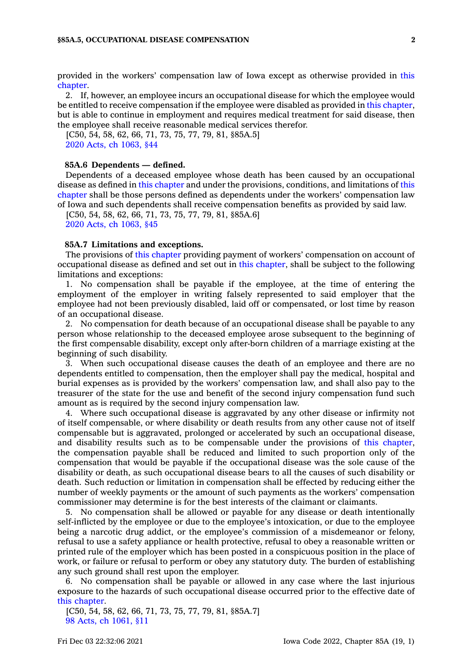provided in the workers' compensation law of Iowa except as otherwise provided in [this](https://www.legis.iowa.gov/docs/code//85A.pdf) [chapter](https://www.legis.iowa.gov/docs/code//85A.pdf).

2. If, however, an employee incurs an occupational disease for which the employee would be entitled to receive compensation if the employee were disabled as provided in this [chapter](https://www.legis.iowa.gov/docs/code//85A.pdf), but is able to continue in employment and requires medical treatment for said disease, then the employee shall receive reasonable medical services therefor.

[C50, 54, 58, 62, 66, 71, 73, 75, 77, 79, 81, §85A.5] 2020 Acts, ch [1063,](https://www.legis.iowa.gov/docs/acts/2020/CH1063.pdf) §44

#### **85A.6 Dependents — defined.**

Dependents of <sup>a</sup> deceased employee whose death has been caused by an occupational disease as defined in this [chapter](https://www.legis.iowa.gov/docs/code//85A.pdf) and under the provisions, conditions, and limitations of [this](https://www.legis.iowa.gov/docs/code//85A.pdf) [chapter](https://www.legis.iowa.gov/docs/code//85A.pdf) shall be those persons defined as dependents under the workers' compensation law of Iowa and such dependents shall receive compensation benefits as provided by said law.

[C50, 54, 58, 62, 66, 71, 73, 75, 77, 79, 81, §85A.6] 2020 Acts, ch [1063,](https://www.legis.iowa.gov/docs/acts/2020/CH1063.pdf) §45

# **85A.7 Limitations and exceptions.**

The provisions of this [chapter](https://www.legis.iowa.gov/docs/code//85A.pdf) providing payment of workers' compensation on account of occupational disease as defined and set out in this [chapter](https://www.legis.iowa.gov/docs/code//85A.pdf), shall be subject to the following limitations and exceptions:

1. No compensation shall be payable if the employee, at the time of entering the employment of the employer in writing falsely represented to said employer that the employee had not been previously disabled, laid off or compensated, or lost time by reason of an occupational disease.

2. No compensation for death because of an occupational disease shall be payable to any person whose relationship to the deceased employee arose subsequent to the beginning of the first compensable disability, except only after-born children of <sup>a</sup> marriage existing at the beginning of such disability.

3. When such occupational disease causes the death of an employee and there are no dependents entitled to compensation, then the employer shall pay the medical, hospital and burial expenses as is provided by the workers' compensation law, and shall also pay to the treasurer of the state for the use and benefit of the second injury compensation fund such amount as is required by the second injury compensation law.

4. Where such occupational disease is aggravated by any other disease or infirmity not of itself compensable, or where disability or death results from any other cause not of itself compensable but is aggravated, prolonged or accelerated by such an occupational disease, and disability results such as to be compensable under the provisions of this [chapter](https://www.legis.iowa.gov/docs/code//85A.pdf), the compensation payable shall be reduced and limited to such proportion only of the compensation that would be payable if the occupational disease was the sole cause of the disability or death, as such occupational disease bears to all the causes of such disability or death. Such reduction or limitation in compensation shall be effected by reducing either the number of weekly payments or the amount of such payments as the workers' compensation commissioner may determine is for the best interests of the claimant or claimants.

5. No compensation shall be allowed or payable for any disease or death intentionally self-inflicted by the employee or due to the employee's intoxication, or due to the employee being <sup>a</sup> narcotic drug addict, or the employee's commission of <sup>a</sup> misdemeanor or felony, refusal to use <sup>a</sup> safety appliance or health protective, refusal to obey <sup>a</sup> reasonable written or printed rule of the employer which has been posted in <sup>a</sup> conspicuous position in the place of work, or failure or refusal to perform or obey any statutory duty. The burden of establishing any such ground shall rest upon the employer.

6. No compensation shall be payable or allowed in any case where the last injurious exposure to the hazards of such occupational disease occurred prior to the effective date of this [chapter](https://www.legis.iowa.gov/docs/code//85A.pdf).

[C50, 54, 58, 62, 66, 71, 73, 75, 77, 79, 81, §85A.7] 98 Acts, ch [1061,](https://www.legis.iowa.gov/docs/acts/1998/CH1061.pdf) §11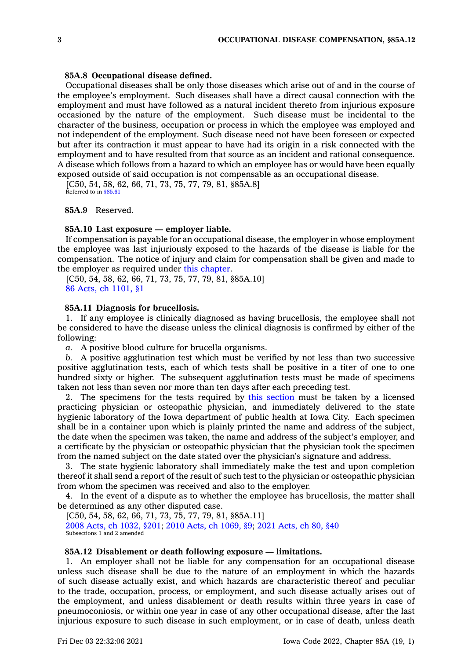#### **85A.8 Occupational disease defined.**

Occupational diseases shall be only those diseases which arise out of and in the course of the employee's employment. Such diseases shall have <sup>a</sup> direct causal connection with the employment and must have followed as <sup>a</sup> natural incident thereto from injurious exposure occasioned by the nature of the employment. Such disease must be incidental to the character of the business, occupation or process in which the employee was employed and not independent of the employment. Such disease need not have been foreseen or expected but after its contraction it must appear to have had its origin in <sup>a</sup> risk connected with the employment and to have resulted from that source as an incident and rational consequence. A disease which follows from <sup>a</sup> hazard to which an employee has or would have been equally exposed outside of said occupation is not compensable as an occupational disease.

 $[C50, 54, 58, 62, 66, 71, 73, 75, 77, 79, 81, \frac{8}{6}5A.8]$ Referred to in [§85.61](https://www.legis.iowa.gov/docs/code/85.61.pdf)

# **85A.9** Reserved.

#### **85A.10 Last exposure — employer liable.**

If compensation is payable for an occupational disease, the employer in whose employment the employee was last injuriously exposed to the hazards of the disease is liable for the compensation. The notice of injury and claim for compensation shall be given and made to the employer as required under this [chapter](https://www.legis.iowa.gov/docs/code//85A.pdf).

[C50, 54, 58, 62, 66, 71, 73, 75, 77, 79, 81, §85A.10] 86 Acts, ch [1101,](https://www.legis.iowa.gov/docs/acts/1986/CH1101.pdf) §1

#### **85A.11 Diagnosis for brucellosis.**

1. If any employee is clinically diagnosed as having brucellosis, the employee shall not be considered to have the disease unless the clinical diagnosis is confirmed by either of the following:

*a.* A positive blood culture for brucella organisms.

*b.* A positive agglutination test which must be verified by not less than two successive positive agglutination tests, each of which tests shall be positive in <sup>a</sup> titer of one to one hundred sixty or higher. The subsequent agglutination tests must be made of specimens taken not less than seven nor more than ten days after each preceding test.

2. The specimens for the tests required by this [section](https://www.legis.iowa.gov/docs/code/85A.11.pdf) must be taken by <sup>a</sup> licensed practicing physician or osteopathic physician, and immediately delivered to the state hygienic laboratory of the Iowa department of public health at Iowa City. Each specimen shall be in <sup>a</sup> container upon which is plainly printed the name and address of the subject, the date when the specimen was taken, the name and address of the subject's employer, and <sup>a</sup> certificate by the physician or osteopathic physician that the physician took the specimen from the named subject on the date stated over the physician's signature and address.

3. The state hygienic laboratory shall immediately make the test and upon completion thereof it shall send <sup>a</sup> report of the result of such test to the physician or osteopathic physician from whom the specimen was received and also to the employer.

4. In the event of <sup>a</sup> dispute as to whether the employee has brucellosis, the matter shall be determined as any other disputed case.

[C50, 54, 58, 62, 66, 71, 73, 75, 77, 79, 81, §85A.11] 2008 Acts, ch [1032,](https://www.legis.iowa.gov/docs/acts/2008/CH1032.pdf) §201; 2010 Acts, ch [1069,](https://www.legis.iowa.gov/docs/acts/2010/CH1069.pdf) §9; 2021 [Acts,](https://www.legis.iowa.gov/docs/acts/2021/CH0080.pdf) ch 80, §40 Subsections 1 and 2 amended

# **85A.12 Disablement or death following exposure — limitations.**

1. An employer shall not be liable for any compensation for an occupational disease unless such disease shall be due to the nature of an employment in which the hazards of such disease actually exist, and which hazards are characteristic thereof and peculiar to the trade, occupation, process, or employment, and such disease actually arises out of the employment, and unless disablement or death results within three years in case of pneumoconiosis, or within one year in case of any other occupational disease, after the last injurious exposure to such disease in such employment, or in case of death, unless death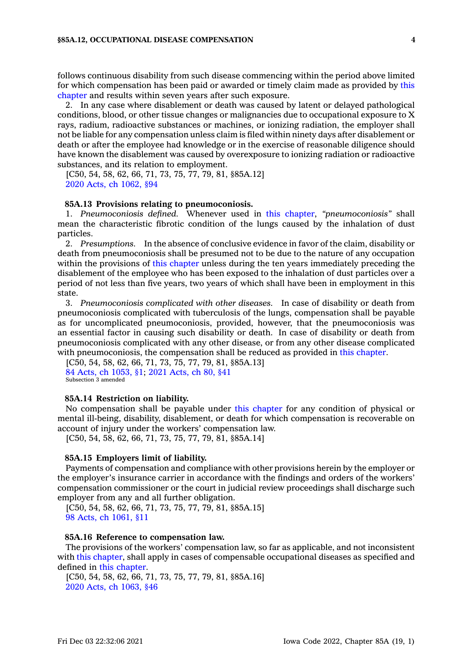follows continuous disability from such disease commencing within the period above limited for which compensation has been paid or awarded or timely claim made as provided by [this](https://www.legis.iowa.gov/docs/code//85A.pdf) [chapter](https://www.legis.iowa.gov/docs/code//85A.pdf) and results within seven years after such exposure.

2. In any case where disablement or death was caused by latent or delayed pathological conditions, blood, or other tissue changes or malignancies due to occupational exposure to X rays, radium, radioactive substances or machines, or ionizing radiation, the employer shall not be liable for any compensation unless claim is filed within ninety days after disablement or death or after the employee had knowledge or in the exercise of reasonable diligence should have known the disablement was caused by overexposure to ionizing radiation or radioactive substances, and its relation to employment.

[C50, 54, 58, 62, 66, 71, 73, 75, 77, 79, 81, §85A.12] 2020 Acts, ch [1062,](https://www.legis.iowa.gov/docs/acts/2020/CH1062.pdf) §94

# **85A.13 Provisions relating to pneumoconiosis.**

1. *Pneumoconiosis defined.* Whenever used in this [chapter](https://www.legis.iowa.gov/docs/code//85A.pdf), *"pneumoconiosis"* shall mean the characteristic fibrotic condition of the lungs caused by the inhalation of dust particles.

2. *Presumptions.* In the absence of conclusive evidence in favor of the claim, disability or death from pneumoconiosis shall be presumed not to be due to the nature of any occupation within the provisions of this [chapter](https://www.legis.iowa.gov/docs/code//85A.pdf) unless during the ten years immediately preceding the disablement of the employee who has been exposed to the inhalation of dust particles over <sup>a</sup> period of not less than five years, two years of which shall have been in employment in this state.

3. *Pneumoconiosis complicated with other diseases.* In case of disability or death from pneumoconiosis complicated with tuberculosis of the lungs, compensation shall be payable as for uncomplicated pneumoconiosis, provided, however, that the pneumoconiosis was an essential factor in causing such disability or death. In case of disability or death from pneumoconiosis complicated with any other disease, or from any other disease complicated with pneumoconiosis, the compensation shall be reduced as provided in this [chapter](https://www.legis.iowa.gov/docs/code//85A.pdf).

[C50, 54, 58, 62, 66, 71, 73, 75, 77, 79, 81, §85A.13] 84 Acts, ch [1053,](https://www.legis.iowa.gov/docs/acts/1984/CH1053.pdf) §1; 2021 [Acts,](https://www.legis.iowa.gov/docs/acts/2021/CH0080.pdf) ch 80, §41 Subsection 3 amended

## **85A.14 Restriction on liability.**

No compensation shall be payable under this [chapter](https://www.legis.iowa.gov/docs/code//85A.pdf) for any condition of physical or mental ill-being, disability, disablement, or death for which compensation is recoverable on account of injury under the workers' compensation law.

[C50, 54, 58, 62, 66, 71, 73, 75, 77, 79, 81, §85A.14]

### **85A.15 Employers limit of liability.**

Payments of compensation and compliance with other provisions herein by the employer or the employer's insurance carrier in accordance with the findings and orders of the workers' compensation commissioner or the court in judicial review proceedings shall discharge such employer from any and all further obligation.

[C50, 54, 58, 62, 66, 71, 73, 75, 77, 79, 81, §85A.15] 98 Acts, ch [1061,](https://www.legis.iowa.gov/docs/acts/1998/CH1061.pdf) §11

#### **85A.16 Reference to compensation law.**

The provisions of the workers' compensation law, so far as applicable, and not inconsistent with this [chapter](https://www.legis.iowa.gov/docs/code//85A.pdf), shall apply in cases of compensable occupational diseases as specified and defined in this [chapter](https://www.legis.iowa.gov/docs/code//85A.pdf).

[C50, 54, 58, 62, 66, 71, 73, 75, 77, 79, 81, §85A.16] 2020 Acts, ch [1063,](https://www.legis.iowa.gov/docs/acts/2020/CH1063.pdf) §46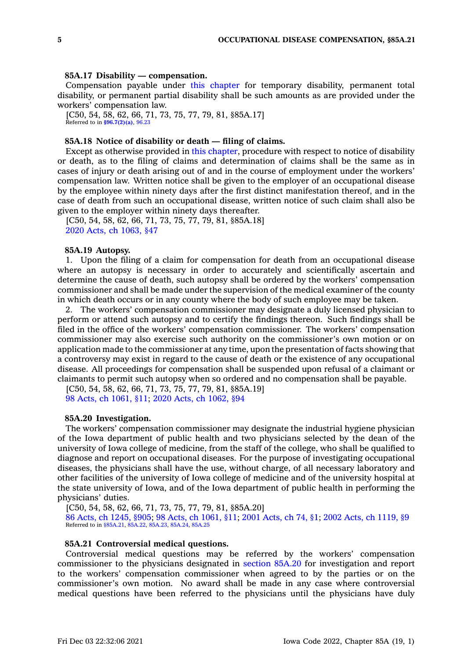#### **85A.17 Disability — compensation.**

Compensation payable under this [chapter](https://www.legis.iowa.gov/docs/code//85A.pdf) for temporary disability, permanent total disability, or permanent partial disability shall be such amounts as are provided under the workers' compensation law.

[C50, 54, 58, 62, 66, 71, 73, 75, 77, 79, 81, §85A.17] Referred to in **[§96.7\(2\)\(a\)](https://www.legis.iowa.gov/docs/code/96.7.pdf)**, [96.23](https://www.legis.iowa.gov/docs/code/96.23.pdf)

#### **85A.18 Notice of disability or death — filing of claims.**

Except as otherwise provided in this [chapter](https://www.legis.iowa.gov/docs/code//85A.pdf), procedure with respect to notice of disability or death, as to the filing of claims and determination of claims shall be the same as in cases of injury or death arising out of and in the course of employment under the workers' compensation law. Written notice shall be given to the employer of an occupational disease by the employee within ninety days after the first distinct manifestation thereof, and in the case of death from such an occupational disease, written notice of such claim shall also be given to the employer within ninety days thereafter.

[C50, 54, 58, 62, 66, 71, 73, 75, 77, 79, 81, §85A.18] 2020 Acts, ch [1063,](https://www.legis.iowa.gov/docs/acts/2020/CH1063.pdf) §47

#### **85A.19 Autopsy.**

1. Upon the filing of <sup>a</sup> claim for compensation for death from an occupational disease where an autopsy is necessary in order to accurately and scientifically ascertain and determine the cause of death, such autopsy shall be ordered by the workers' compensation commissioner and shall be made under the supervision of the medical examiner of the county in which death occurs or in any county where the body of such employee may be taken.

2. The workers' compensation commissioner may designate <sup>a</sup> duly licensed physician to perform or attend such autopsy and to certify the findings thereon. Such findings shall be filed in the office of the workers' compensation commissioner. The workers' compensation commissioner may also exercise such authority on the commissioner's own motion or on application made to the commissioner at any time, upon the presentation of facts showing that <sup>a</sup> controversy may exist in regard to the cause of death or the existence of any occupational disease. All proceedings for compensation shall be suspended upon refusal of <sup>a</sup> claimant or claimants to permit such autopsy when so ordered and no compensation shall be payable.

[C50, 54, 58, 62, 66, 71, 73, 75, 77, 79, 81, §85A.19] 98 Acts, ch [1061,](https://www.legis.iowa.gov/docs/acts/1998/CH1061.pdf) §11; 2020 Acts, ch [1062,](https://www.legis.iowa.gov/docs/acts/2020/CH1062.pdf) §94

## **85A.20 Investigation.**

The workers' compensation commissioner may designate the industrial hygiene physician of the Iowa department of public health and two physicians selected by the dean of the university of Iowa college of medicine, from the staff of the college, who shall be qualified to diagnose and report on occupational diseases. For the purpose of investigating occupational diseases, the physicians shall have the use, without charge, of all necessary laboratory and other facilities of the university of Iowa college of medicine and of the university hospital at the state university of Iowa, and of the Iowa department of public health in performing the physicians' duties.

[C50, 54, 58, 62, 66, 71, 73, 75, 77, 79, 81, §85A.20] 86 Acts, ch [1245,](https://www.legis.iowa.gov/docs/acts/1986/CH1245.pdf) §905; 98 Acts, ch [1061,](https://www.legis.iowa.gov/docs/acts/1998/CH1061.pdf) §11; 2001 [Acts,](https://www.legis.iowa.gov/docs/acts/2001/CH0074.pdf) ch 74, §1; 2002 Acts, ch [1119,](https://www.legis.iowa.gov/docs/acts/2002/CH1119.pdf) §9 Referred to in [§85A.21](https://www.legis.iowa.gov/docs/code/85A.21.pdf), [85A.22](https://www.legis.iowa.gov/docs/code/85A.22.pdf), [85A.23](https://www.legis.iowa.gov/docs/code/85A.23.pdf), [85A.24,](https://www.legis.iowa.gov/docs/code/85A.24.pdf) [85A.25](https://www.legis.iowa.gov/docs/code/85A.25.pdf)

#### **85A.21 Controversial medical questions.**

Controversial medical questions may be referred by the workers' compensation commissioner to the physicians designated in [section](https://www.legis.iowa.gov/docs/code/85A.20.pdf) 85A.20 for investigation and report to the workers' compensation commissioner when agreed to by the parties or on the commissioner's own motion. No award shall be made in any case where controversial medical questions have been referred to the physicians until the physicians have duly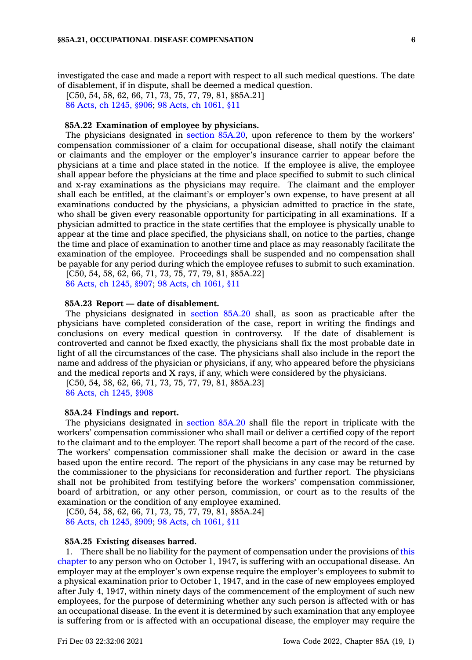investigated the case and made <sup>a</sup> report with respect to all such medical questions. The date of disablement, if in dispute, shall be deemed <sup>a</sup> medical question.

[C50, 54, 58, 62, 66, 71, 73, 75, 77, 79, 81, §85A.21] 86 Acts, ch [1245,](https://www.legis.iowa.gov/docs/acts/1986/CH1245.pdf) §906; 98 Acts, ch [1061,](https://www.legis.iowa.gov/docs/acts/1998/CH1061.pdf) §11

#### **85A.22 Examination of employee by physicians.**

The physicians designated in section [85A.20](https://www.legis.iowa.gov/docs/code/85A.20.pdf), upon reference to them by the workers' compensation commissioner of <sup>a</sup> claim for occupational disease, shall notify the claimant or claimants and the employer or the employer's insurance carrier to appear before the physicians at <sup>a</sup> time and place stated in the notice. If the employee is alive, the employee shall appear before the physicians at the time and place specified to submit to such clinical and x-ray examinations as the physicians may require. The claimant and the employer shall each be entitled, at the claimant's or employer's own expense, to have present at all examinations conducted by the physicians, <sup>a</sup> physician admitted to practice in the state, who shall be given every reasonable opportunity for participating in all examinations. If <sup>a</sup> physician admitted to practice in the state certifies that the employee is physically unable to appear at the time and place specified, the physicians shall, on notice to the parties, change the time and place of examination to another time and place as may reasonably facilitate the examination of the employee. Proceedings shall be suspended and no compensation shall be payable for any period during which the employee refuses to submit to such examination.

[C50, 54, 58, 62, 66, 71, 73, 75, 77, 79, 81, §85A.22] 86 Acts, ch [1245,](https://www.legis.iowa.gov/docs/acts/1986/CH1245.pdf) §907; 98 Acts, ch [1061,](https://www.legis.iowa.gov/docs/acts/1998/CH1061.pdf) §11

# **85A.23 Report — date of disablement.**

The physicians designated in [section](https://www.legis.iowa.gov/docs/code/85A.20.pdf) 85A.20 shall, as soon as practicable after the physicians have completed consideration of the case, report in writing the findings and conclusions on every medical question in controversy. If the date of disablement is controverted and cannot be fixed exactly, the physicians shall fix the most probable date in light of all the circumstances of the case. The physicians shall also include in the report the name and address of the physician or physicians, if any, who appeared before the physicians and the medical reports and X rays, if any, which were considered by the physicians.

[C50, 54, 58, 62, 66, 71, 73, 75, 77, 79, 81, §85A.23] 86 Acts, ch [1245,](https://www.legis.iowa.gov/docs/acts/1986/CH1245.pdf) §908

#### **85A.24 Findings and report.**

The physicians designated in [section](https://www.legis.iowa.gov/docs/code/85A.20.pdf) 85A.20 shall file the report in triplicate with the workers' compensation commissioner who shall mail or deliver <sup>a</sup> certified copy of the report to the claimant and to the employer. The report shall become <sup>a</sup> part of the record of the case. The workers' compensation commissioner shall make the decision or award in the case based upon the entire record. The report of the physicians in any case may be returned by the commissioner to the physicians for reconsideration and further report. The physicians shall not be prohibited from testifying before the workers' compensation commissioner, board of arbitration, or any other person, commission, or court as to the results of the examination or the condition of any employee examined.

[C50, 54, 58, 62, 66, 71, 73, 75, 77, 79, 81, §85A.24] 86 Acts, ch [1245,](https://www.legis.iowa.gov/docs/acts/1986/CH1245.pdf) §909; 98 Acts, ch [1061,](https://www.legis.iowa.gov/docs/acts/1998/CH1061.pdf) §11

# **85A.25 Existing diseases barred.**

1. There shall be no liability for the payment of compensation under the provisions of [this](https://www.legis.iowa.gov/docs/code//85A.pdf) [chapter](https://www.legis.iowa.gov/docs/code//85A.pdf) to any person who on October 1, 1947, is suffering with an occupational disease. An employer may at the employer's own expense require the employer's employees to submit to <sup>a</sup> physical examination prior to October 1, 1947, and in the case of new employees employed after July 4, 1947, within ninety days of the commencement of the employment of such new employees, for the purpose of determining whether any such person is affected with or has an occupational disease. In the event it is determined by such examination that any employee is suffering from or is affected with an occupational disease, the employer may require the